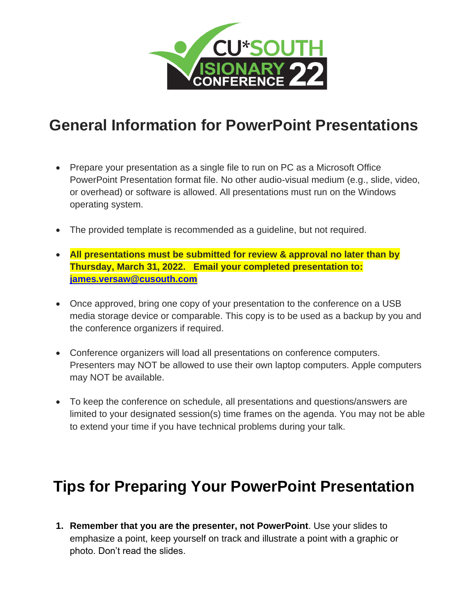

## **General Information for PowerPoint Presentations**

- Prepare your presentation as a single file to run on PC as a Microsoft Office PowerPoint Presentation format file. No other audio-visual medium (e.g., slide, video, or overhead) or software is allowed. All presentations must run on the Windows operating system.
- The provided template is recommended as a guideline, but not required.
- **All presentations must be submitted for review & approval no later than by Thursday, March 31, 2022. Email your completed presentation to: [james.versaw@cusouth.com](mailto:james.versaw@cusouth.com)**
- Once approved, bring one copy of your presentation to the conference on a USB media storage device or comparable. This copy is to be used as a backup by you and the conference organizers if required.
- Conference organizers will load all presentations on conference computers. Presenters may NOT be allowed to use their own laptop computers. Apple computers may NOT be available.
- To keep the conference on schedule, all presentations and questions/answers are limited to your designated session(s) time frames on the agenda. You may not be able to extend your time if you have technical problems during your talk.

## **Tips for Preparing Your PowerPoint Presentation**

**1. Remember that you are the presenter, not PowerPoint**. Use your slides to emphasize a point, keep yourself on track and illustrate a point with a graphic or photo. Don't read the slides.